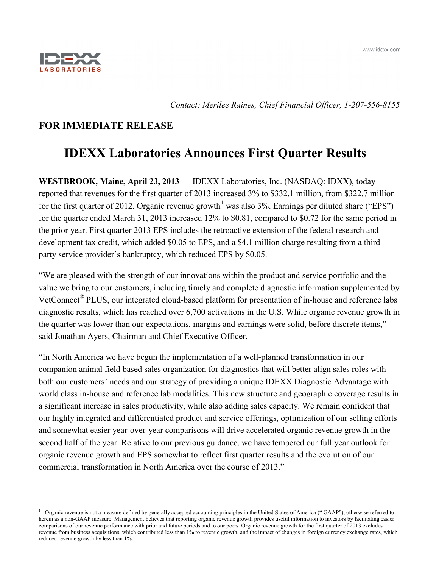

*Contact: Merilee Raines, Chief Financial Officer, 1-207-556-8155*

# **FOR IMMEDIATE RELEASE**

# **IDEXX Laboratories Announces First Quarter Results**

**WESTBROOK, Maine, April 23, 2013** — IDEXX Laboratories, Inc. (NASDAQ: IDXX), today reported that revenues for the first quarter of 2013 increased 3% to \$332.1 million, from \$322.7 million for the first quarter of 20[1](#page-0-0)2. Organic revenue growth<sup>1</sup> was also 3%. Earnings per diluted share ("EPS") for the quarter ended March 31, 2013 increased 12% to \$0.81, compared to \$0.72 for the same period in the prior year. First quarter 2013 EPS includes the retroactive extension of the federal research and development tax credit, which added \$0.05 to EPS, and a \$4.1 million charge resulting from a thirdparty service provider's bankruptcy, which reduced EPS by \$0.05.

"We are pleased with the strength of our innovations within the product and service portfolio and the value we bring to our customers, including timely and complete diagnostic information supplemented by VetConnect® PLUS, our integrated cloud-based platform for presentation of in-house and reference labs diagnostic results, which has reached over 6,700 activations in the U.S. While organic revenue growth in the quarter was lower than our expectations, margins and earnings were solid, before discrete items," said Jonathan Ayers, Chairman and Chief Executive Officer.

"In North America we have begun the implementation of a well-planned transformation in our companion animal field based sales organization for diagnostics that will better align sales roles with both our customers' needs and our strategy of providing a unique IDEXX Diagnostic Advantage with world class in-house and reference lab modalities. This new structure and geographic coverage results in a significant increase in sales productivity, while also adding sales capacity. We remain confident that our highly integrated and differentiated product and service offerings, optimization of our selling efforts and somewhat easier year-over-year comparisons will drive accelerated organic revenue growth in the second half of the year. Relative to our previous guidance, we have tempered our full year outlook for organic revenue growth and EPS somewhat to reflect first quarter results and the evolution of our commercial transformation in North America over the course of 2013."

<span id="page-0-0"></span> <sup>1</sup> Organic revenue is not a measure defined by generally accepted accounting principles in the United States of America (" GAAP"), otherwise referred to herein as a non-GAAP measure. Management believes that reporting organic revenue growth provides useful information to investors by facilitating easier comparisons of our revenue performance with prior and future periods and to our peers. Organic revenue growth for the first quarter of 2013 excludes revenue from business acquisitions, which contributed less than 1% to revenue growth, and the impact of changes in foreign currency exchange rates, which reduced revenue growth by less than 1%.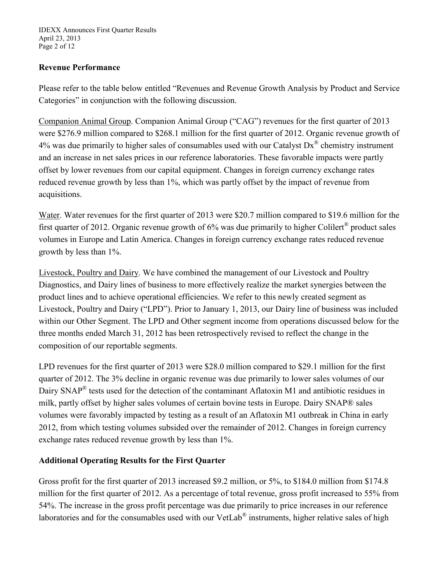## **Revenue Performance**

Please refer to the table below entitled "Revenues and Revenue Growth Analysis by Product and Service Categories" in conjunction with the following discussion.

Companion Animal Group. Companion Animal Group ("CAG") revenues for the first quarter of 2013 were \$276.9 million compared to \$268.1 million for the first quarter of 2012. Organic revenue growth of  $4\%$  was due primarily to higher sales of consumables used with our Catalyst Dx<sup>®</sup> chemistry instrument and an increase in net sales prices in our reference laboratories. These favorable impacts were partly offset by lower revenues from our capital equipment. Changes in foreign currency exchange rates reduced revenue growth by less than 1%, which was partly offset by the impact of revenue from acquisitions.

Water. Water revenues for the first quarter of 2013 were \$20.7 million compared to \$19.6 million for the first quarter of 2012. Organic revenue growth of 6% was due primarily to higher Colilert® product sales volumes in Europe and Latin America. Changes in foreign currency exchange rates reduced revenue growth by less than 1%.

Livestock, Poultry and Dairy. We have combined the management of our Livestock and Poultry Diagnostics, and Dairy lines of business to more effectively realize the market synergies between the product lines and to achieve operational efficiencies. We refer to this newly created segment as Livestock, Poultry and Dairy ("LPD"). Prior to January 1, 2013, our Dairy line of business was included within our Other Segment. The LPD and Other segment income from operations discussed below for the three months ended March 31, 2012 has been retrospectively revised to reflect the change in the composition of our reportable segments.

LPD revenues for the first quarter of 2013 were \$28.0 million compared to \$29.1 million for the first quarter of 2012. The 3% decline in organic revenue was due primarily to lower sales volumes of our Dairy SNAP® tests used for the detection of the contaminant Aflatoxin M1 and antibiotic residues in milk, partly offset by higher sales volumes of certain bovine tests in Europe. Dairy SNAP® sales volumes were favorably impacted by testing as a result of an Aflatoxin M1 outbreak in China in early 2012, from which testing volumes subsided over the remainder of 2012. Changes in foreign currency exchange rates reduced revenue growth by less than 1%.

## **Additional Operating Results for the First Quarter**

Gross profit for the first quarter of 2013 increased \$9.2 million, or 5%, to \$184.0 million from \$174.8 million for the first quarter of 2012. As a percentage of total revenue, gross profit increased to 55% from 54%. The increase in the gross profit percentage was due primarily to price increases in our reference laboratories and for the consumables used with our VetLab<sup>®</sup> instruments, higher relative sales of high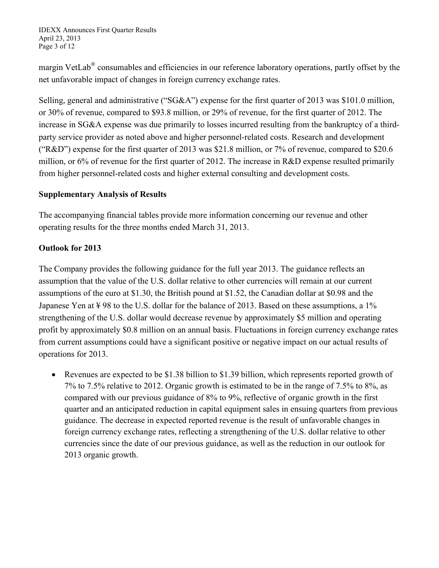IDEXX Announces First Quarter Results April 23, 2013 Page 3 of 12

margin VetLab® consumables and efficiencies in our reference laboratory operations, partly offset by the net unfavorable impact of changes in foreign currency exchange rates.

Selling, general and administrative ("SG&A") expense for the first quarter of 2013 was \$101.0 million, or 30% of revenue, compared to \$93.8 million, or 29% of revenue, for the first quarter of 2012. The increase in SG&A expense was due primarily to losses incurred resulting from the bankruptcy of a thirdparty service provider as noted above and higher personnel-related costs. Research and development ("R&D") expense for the first quarter of 2013 was \$21.8 million, or 7% of revenue, compared to \$20.6 million, or 6% of revenue for the first quarter of 2012. The increase in R&D expense resulted primarily from higher personnel-related costs and higher external consulting and development costs.

## **Supplementary Analysis of Results**

The accompanying financial tables provide more information concerning our revenue and other operating results for the three months ended March 31, 2013.

## **Outlook for 2013**

The Company provides the following guidance for the full year 2013. The guidance reflects an assumption that the value of the U.S. dollar relative to other currencies will remain at our current assumptions of the euro at \$1.30, the British pound at \$1.52, the Canadian dollar at \$0.98 and the Japanese Yen at \# 98 to the U.S. dollar for the balance of 2013. Based on these assumptions, a 1% strengthening of the U.S. dollar would decrease revenue by approximately \$5 million and operating profit by approximately \$0.8 million on an annual basis. Fluctuations in foreign currency exchange rates from current assumptions could have a significant positive or negative impact on our actual results of operations for 2013.

• Revenues are expected to be \$1.38 billion to \$1.39 billion, which represents reported growth of 7% to 7.5% relative to 2012. Organic growth is estimated to be in the range of 7.5% to 8%, as compared with our previous guidance of 8% to 9%, reflective of organic growth in the first quarter and an anticipated reduction in capital equipment sales in ensuing quarters from previous guidance. The decrease in expected reported revenue is the result of unfavorable changes in foreign currency exchange rates, reflecting a strengthening of the U.S. dollar relative to other currencies since the date of our previous guidance, as well as the reduction in our outlook for 2013 organic growth.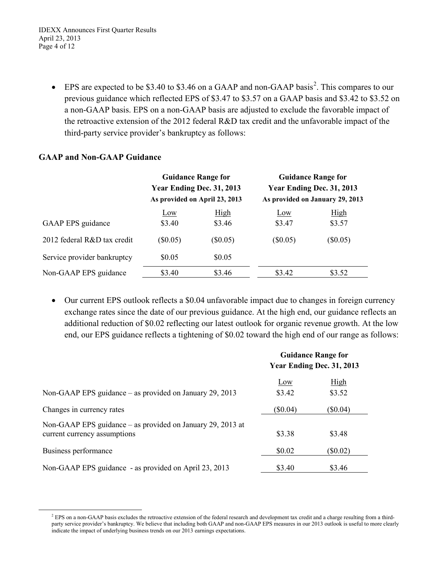• EPS are expected to be \$3.40 to \$3.46 on a GAAP and non-GAAP basis<sup>[2](#page-3-0)</sup>. This compares to our previous guidance which reflected EPS of \$3.47 to \$3.57 on a GAAP basis and \$3.42 to \$3.52 on a non-GAAP basis. EPS on a non-GAAP basis are adjusted to exclude the favorable impact of the retroactive extension of the 2012 federal R&D tax credit and the unfavorable impact of the third-party service provider's bankruptcy as follows:

## **GAAP and Non-GAAP Guidance**

|                             |            | <b>Guidance Range for</b><br>Year Ending Dec. 31, 2013<br>As provided on April 23, 2013 |            | <b>Guidance Range for</b><br>Year Ending Dec. 31, 2013<br>As provided on January 29, 2013 |
|-----------------------------|------------|-----------------------------------------------------------------------------------------|------------|-------------------------------------------------------------------------------------------|
|                             | Low        | <b>High</b>                                                                             | <u>Low</u> | <b>High</b>                                                                               |
| GAAP EPS guidance           | \$3.40     | \$3.46                                                                                  | \$3.47     | \$3.57                                                                                    |
| 2012 federal R&D tax credit | $(\$0.05)$ | $(\$0.05)$                                                                              | $(\$0.05)$ | $(\$0.05)$                                                                                |
| Service provider bankruptcy | \$0.05     | \$0.05                                                                                  |            |                                                                                           |
| Non-GAAP EPS guidance       | \$3.40     | \$3.46                                                                                  | \$3.42     | \$3.52                                                                                    |

• Our current EPS outlook reflects a \$0.04 unfavorable impact due to changes in foreign currency exchange rates since the date of our previous guidance. At the high end, our guidance reflects an additional reduction of \$0.02 reflecting our latest outlook for organic revenue growth. At the low end, our EPS guidance reflects a tightening of \$0.02 toward the high end of our range as follows:

|                                                                                              |               | <b>Guidance Range for</b><br>Year Ending Dec. 31, 2013 |
|----------------------------------------------------------------------------------------------|---------------|--------------------------------------------------------|
| Non-GAAP EPS guidance $-$ as provided on January 29, 2013                                    | Low<br>\$3.42 | <b>High</b><br>\$3.52                                  |
| Changes in currency rates                                                                    | $(\$0.04)$    | (\$0.04)                                               |
| Non-GAAP EPS guidance $-$ as provided on January 29, 2013 at<br>current currency assumptions | \$3.38        | \$3.48                                                 |
| Business performance                                                                         | \$0.02        | $(\$0.02)$                                             |
| Non-GAAP EPS guidance - as provided on April 23, 2013                                        | \$3.40        | \$3.46                                                 |

<span id="page-3-0"></span> $<sup>2</sup>$  EPS on a non-GAAP basis excludes the retroactive extension of the federal research and development tax credit and a charge resulting from a third-</sup> party service provider's bankruptcy. We believe that including both GAAP and non-GAAP EPS measures in our 2013 outlook is useful to more clearly indicate the impact of underlying business trends on our 2013 earnings expectations.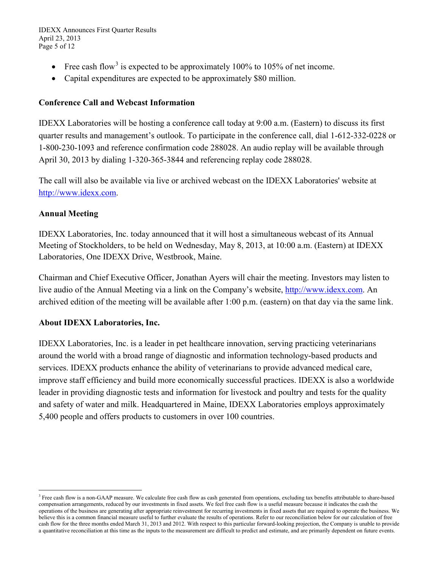IDEXX Announces First Quarter Results April 23, 2013 Page 5 of 12

- Free cash flow<sup>[3](#page-4-0)</sup> is expected to be approximately 100% to 105% of net income.
- Capital expenditures are expected to be approximately \$80 million.

## **Conference Call and Webcast Information**

IDEXX Laboratories will be hosting a conference call today at 9:00 a.m. (Eastern) to discuss its first quarter results and management's outlook. To participate in the conference call, dial 1-612-332-0228 or 1-800-230-1093 and reference confirmation code 288028. An audio replay will be available through April 30, 2013 by dialing 1-320-365-3844 and referencing replay code 288028.

The call will also be available via live or archived webcast on the IDEXX Laboratories' website at [http://www.idexx.com.](http://www.idexx.com/)

## **Annual Meeting**

IDEXX Laboratories, Inc. today announced that it will host a simultaneous webcast of its Annual Meeting of Stockholders, to be held on Wednesday, May 8, 2013, at 10:00 a.m. (Eastern) at IDEXX Laboratories, One IDEXX Drive, Westbrook, Maine.

Chairman and Chief Executive Officer, Jonathan Ayers will chair the meeting. Investors may listen to live audio of the Annual Meeting via a link on the Company's website, [http://www.idexx.com.](http://www.idexx.com/) An archived edition of the meeting will be available after 1:00 p.m. (eastern) on that day via the same link.

## **About IDEXX Laboratories, Inc.**

IDEXX Laboratories, Inc. is a leader in pet healthcare innovation, serving practicing veterinarians around the world with a broad range of diagnostic and information technology-based products and services. IDEXX products enhance the ability of veterinarians to provide advanced medical care, improve staff efficiency and build more economically successful practices. IDEXX is also a worldwide leader in providing diagnostic tests and information for livestock and poultry and tests for the quality and safety of water and milk. Headquartered in Maine, IDEXX Laboratories employs approximately 5,400 people and offers products to customers in over 100 countries.

<span id="page-4-0"></span><sup>&</sup>lt;sup>3</sup> Free cash flow is a non-GAAP measure. We calculate free cash flow as cash generated from operations, excluding tax benefits attributable to share-based compensation arrangements, reduced by our investments in fixed assets. We feel free cash flow is a useful measure because it indicates the cash the operations of the business are generating after appropriate reinvestment for recurring investments in fixed assets that are required to operate the business. We believe this is a common financial measure useful to further evaluate the results of operations. Refer to our reconciliation below for our calculation of free cash flow for the three months ended March 31, 2013 and 2012. With respect to this particular forward-looking projection, the Company is unable to provide a quantitative reconciliation at this time as the inputs to the measurement are difficult to predict and estimate, and are primarily dependent on future events.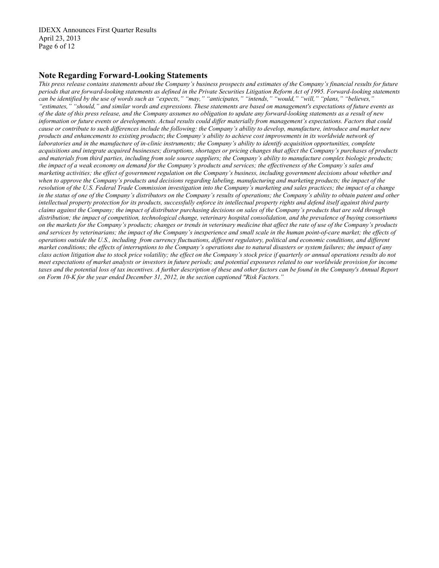IDEXX Announces First Quarter Results April 23, 2013 Page 6 of 12

## **Note Regarding Forward-Looking Statements**

*This press release contains statements about the Company's business prospects and estimates of the Company's financial results for future periods that are forward-looking statements as defined in the Private Securities Litigation Reform Act of 1995. Forward-looking statements can be identified by the use of words such as "expects," "may," "anticipates," "intends," "would," "will," "plans," "believes," "estimates," "should," and similar words and expressions. These statements are based on management's expectations of future events as of the date of this press release, and the Company assumes no obligation to update any forward-looking statements as a result of new*  information or future events or developments. Actual results could differ materially from management's expectations. Factors that could *cause or contribute to such differences include the following: the Company's ability to develop, manufacture, introduce and market new products and enhancements to existing products*; *the Company's ability to achieve cost improvements in its worldwide network of laboratories and in the manufacture of in-clinic instruments; the Company's ability to identify acquisition opportunities, complete acquisitions and integrate acquired businesses; disruptions, shortages or pricing changes that affect the Company's purchases of products*  and materials from third parties, including from sole source suppliers; the Company's ability to manufacture complex biologic products; *the impact of a weak economy on demand for the Company's products and services; the effectiveness of the Company's sales and marketing activities; the effect of government regulation on the Company's business, including government decisions about whether and*  when to approve the Company's products and decisions regarding labeling, manufacturing and marketing products; the impact of the *resolution of the U.S. Federal Trade Commission investigation into the Company's marketing and sales practices; the impact of a change in the status of one of the Company's distributors on the Company's results of operations; the Company's ability to obtain patent and other intellectual property protection for its products, successfully enforce its intellectual property rights and defend itself against third party claims against the Company; the impact of distributor purchasing decisions on sales of the Company's products that are sold through distribution; the impact of competition, technological change, veterinary hospital consolidation, and the prevalence of buying consortiums on the markets for the Company's products; changes or trends in veterinary medicine that affect the rate of use of the Company's products and services by veterinarians; the impact of the Company's inexperience and small scale in the human point-of-care market; the effects of operations outside the U.S., including from currency fluctuations, different regulatory, political and economic conditions, and different market conditions; the effects of interruptions to the Company's operations due to natural disasters or system failures; the impact of any class action litigation due to stock price volatility; the effect on the Company's stock price if quarterly or annual operations results do not meet expectations of market analysts or investors in future periods; and potential exposures related to our worldwide provision for income taxes and the potential loss of tax incentives. A further description of these and other factors can be found in the Company's Annual Report on Form 10-K for the year ended December 31, 2012, in the section captioned "Risk Factors."*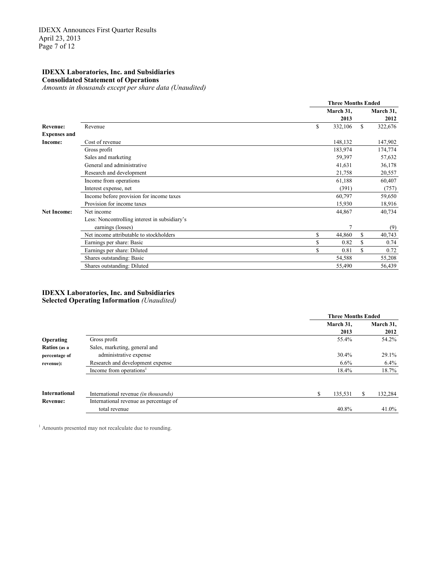**Consolidated Statement of Operations** *Amounts in thousands except per share data (Unaudited)*

|                     |                                               |           | <b>Three Months Ended</b> |           |
|---------------------|-----------------------------------------------|-----------|---------------------------|-----------|
|                     |                                               | March 31, |                           | March 31, |
|                     |                                               |           | 2013                      | 2012      |
| <b>Revenue:</b>     | Revenue                                       | \$        | \$<br>332,106             | 322,676   |
| <b>Expenses and</b> |                                               |           |                           |           |
| Income:             | Cost of revenue                               |           | 148,132                   | 147,902   |
|                     | Gross profit                                  |           | 183,974                   | 174,774   |
|                     | Sales and marketing                           |           | 59,397                    | 57,632    |
|                     | General and administrative                    |           | 41,631                    | 36,178    |
|                     | Research and development                      |           | 21,758                    | 20,557    |
|                     | Income from operations                        |           | 61,188                    | 60,407    |
|                     | Interest expense, net                         |           | (391)                     | (757)     |
|                     | Income before provision for income taxes      |           | 60,797                    | 59,650    |
|                     | Provision for income taxes                    |           | 15,930                    | 18,916    |
| <b>Net Income:</b>  | Net income                                    |           | 44,867                    | 40,734    |
|                     | Less: Noncontrolling interest in subsidiary's |           |                           |           |
|                     | earnings (losses)                             |           | $\overline{7}$            | (9)       |
|                     | Net income attributable to stockholders       | \$        | 44,860                    | 40,743    |
|                     | Earnings per share: Basic                     | \$        | S<br>0.82                 | 0.74      |
|                     | Earnings per share: Diluted                   | \$        | S<br>0.81                 | 0.72      |
|                     | Shares outstanding: Basic                     |           | 54,588                    | 55,208    |
|                     | Shares outstanding: Diluted                   |           | 55,490                    | 56,439    |

#### **IDEXX Laboratories, Inc. and Subsidiaries Selected Operating Information** *(Unaudited)*

|                      |                                             | <b>Three Months Ended</b> |           |
|----------------------|---------------------------------------------|---------------------------|-----------|
|                      |                                             | March 31,                 | March 31, |
|                      |                                             | 2013                      | 2012      |
| <b>Operating</b>     | Gross profit                                | 55.4%                     | 54.2%     |
| Ratios (as a         | Sales, marketing, general and               |                           |           |
| percentage of        | administrative expense                      | 30.4%                     | 29.1%     |
| revenue):            | Research and development expense            | 6.6%                      | 6.4%      |
|                      | Income from operations <sup>1</sup>         | 18.4%                     | 18.7%     |
| <b>International</b> | International revenue <i>(in thousands)</i> | \$<br>135,531             | 132,284   |
| <b>Revenue:</b>      | International revenue as percentage of      |                           |           |
|                      | total revenue                               | 40.8%                     | $41.0\%$  |

<sup>1</sup> Amounts presented may not recalculate due to rounding.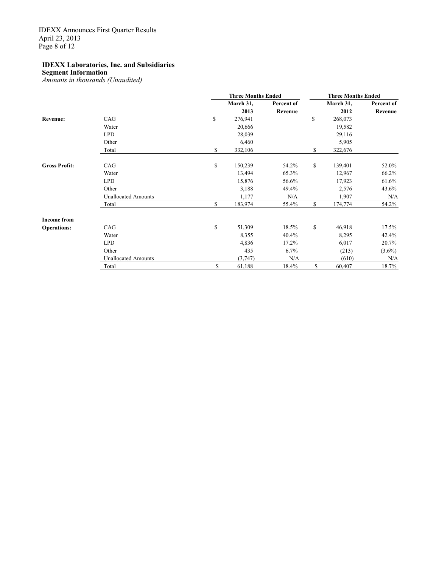**Segment Information**

*Amounts in thousands (Unaudited)*

|                      |                            | <b>Three Months Ended</b> |            |             | <b>Three Months Ended</b> |            |  |  |
|----------------------|----------------------------|---------------------------|------------|-------------|---------------------------|------------|--|--|
|                      |                            | March 31,                 | Percent of |             | March 31,                 | Percent of |  |  |
|                      |                            | 2013                      | Revenue    |             | 2012                      | Revenue    |  |  |
| Revenue:             | CAG                        | \$<br>276,941             |            | $\mathbf S$ | 268,073                   |            |  |  |
|                      | Water                      | 20,666                    |            |             | 19,582                    |            |  |  |
|                      | <b>LPD</b>                 | 28,039                    |            |             | 29,116                    |            |  |  |
|                      | Other                      | 6,460                     |            |             | 5,905                     |            |  |  |
|                      | Total                      | \$<br>332,106             |            | \$          | 322,676                   |            |  |  |
| <b>Gross Profit:</b> | CAG                        | \$<br>150,239             | 54.2%      | \$          | 139,401                   | 52.0%      |  |  |
|                      | Water                      | 13,494                    | 65.3%      |             | 12,967                    | 66.2%      |  |  |
|                      | <b>LPD</b>                 | 15,876                    | 56.6%      |             | 17,923                    | 61.6%      |  |  |
|                      | Other                      | 3,188                     | 49.4%      |             | 2,576                     | 43.6%      |  |  |
|                      | <b>Unallocated Amounts</b> | 1,177                     | N/A        |             | 1,907                     | N/A        |  |  |
|                      | Total                      | \$<br>183,974             | 55.4%      | \$          | 174,774                   | 54.2%      |  |  |
| <b>Income from</b>   |                            |                           |            |             |                           |            |  |  |
| <b>Operations:</b>   | CAG                        | \$<br>51,309              | 18.5%      | \$          | 46,918                    | 17.5%      |  |  |
|                      | Water                      | 8,355                     | 40.4%      |             | 8,295                     | 42.4%      |  |  |
|                      | <b>LPD</b>                 | 4,836                     | 17.2%      |             | 6,017                     | 20.7%      |  |  |
|                      | Other                      | 435                       | 6.7%       |             | (213)                     | $(3.6\%)$  |  |  |
|                      | <b>Unallocated Amounts</b> | (3,747)                   | N/A        |             | (610)                     | N/A        |  |  |
|                      | Total                      | \$<br>61,188              | 18.4%      | \$          | 60,407                    | 18.7%      |  |  |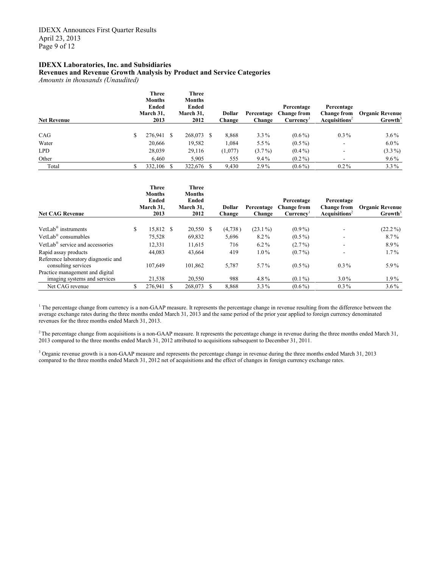**Revenues and Revenue Growth Analysis by Product and Service Categories**

*Amounts in thousands (Unaudited)*

| <b>Net Revenue</b> |   | Three<br><b>Months</b><br>Ended<br>March 31,<br>2013 |   | Three<br><b>Months</b><br>Ended<br>March 31,<br>2012 |    | Dollar<br>Change | Percentage<br>Change | Percentage<br><b>Change from</b><br>Currency <sup>1</sup> | Percentage<br><b>Change from</b><br>Acquistions <sup>2</sup> | <b>Organic Revenue</b><br>Growth <sup>3</sup> |
|--------------------|---|------------------------------------------------------|---|------------------------------------------------------|----|------------------|----------------------|-----------------------------------------------------------|--------------------------------------------------------------|-----------------------------------------------|
| CAG                | S | 276,941                                              | S | 268,073                                              | -S | 8,868            | $3.3\%$              | $(0.6\%)$                                                 | $0.3\%$                                                      | $3.6\%$                                       |
| Water              |   | 20,666                                               |   | 19,582                                               |    | 1,084            | $5.5\%$              | $(0.5\%)$                                                 | $\overline{\phantom{a}}$                                     | $6.0\%$                                       |
| <b>LPD</b>         |   | 28,039                                               |   | 29,116                                               |    | (1,077)          | $(3.7\%)$            | $(0.4\%)$                                                 | $\overline{\phantom{a}}$                                     | $(3.3\%)$                                     |
| Other              |   | 6.460                                                |   | 5,905                                                |    | 555              | $9.4\%$              | $(0.2\%)$                                                 | $\overline{\phantom{a}}$                                     | $9.6\%$                                       |
| Total              |   | 332,106                                              |   | 322,676                                              | -8 | 9,430            | $2.9\%$              | $(0.6\%)$                                                 | $0.2\%$                                                      | $3.3\%$                                       |

| <b>Net CAG Revenue</b>                                          |    | <b>Three</b><br><b>Months</b><br><b>Ended</b><br>March 31.<br>2013 |   | <b>Three</b><br><b>Months</b><br>Ended<br>March 31.<br>2012 |    | <b>Dollar</b><br>Change | Percentage<br>Change | Percentage<br><b>Change from</b><br>Currence <sup>T</sup> | Percentage<br><b>Change from</b><br>Acquisitions <sup>2</sup> | <b>Organic Revenue</b><br>Growth <sup>3</sup> |
|-----------------------------------------------------------------|----|--------------------------------------------------------------------|---|-------------------------------------------------------------|----|-------------------------|----------------------|-----------------------------------------------------------|---------------------------------------------------------------|-----------------------------------------------|
| VetLab <sup>®</sup> instruments                                 | \$ | 15,812                                                             | S | 20,550                                                      | -S | (4,738)                 | $(23.1\%)$           | $(0.9\%)$                                                 | $\overline{\phantom{a}}$                                      | $(22.2\%)$                                    |
| $VetLab^{\otimes}$ consumables                                  |    | 75,528                                                             |   | 69,832                                                      |    | 5,696                   | 8.2%                 | $(0.5\%)$                                                 | -                                                             | $8.7\%$                                       |
| VetLab <sup>®</sup> service and accessories                     |    | 12,331                                                             |   | 11,615                                                      |    | 716                     | $6.2\%$              | $(2.7\%)$                                                 |                                                               | 8.9%                                          |
| Rapid assay products                                            |    | 44,083                                                             |   | 43,664                                                      |    | 419                     | $1.0\%$              | $(0.7\%)$                                                 | $\overline{\phantom{a}}$                                      | $1.7\%$                                       |
| Reference laboratory diagnostic and<br>consulting services      |    | 107,649                                                            |   | 101,862                                                     |    | 5,787                   | 5.7%                 | $(0.5\%)$                                                 | $0.3\%$                                                       | 5.9%                                          |
| Practice management and digital<br>imaging systems and services |    | 21,538                                                             |   | 20,550                                                      |    | 988                     | 4.8%                 | $(0.1\%)$                                                 | $3.0\%$                                                       | $1.9\%$                                       |
| Net CAG revenue                                                 | ъ. | 276,941                                                            |   | 268,073                                                     |    | 8,868                   | $3.3\%$              | $(0.6\%)$                                                 | $0.3\%$                                                       | $3.6\%$                                       |
|                                                                 |    |                                                                    |   |                                                             |    |                         |                      |                                                           |                                                               |                                               |

<sup>1</sup> The percentage change from currency is a non-GAAP measure. It represents the percentage change in revenue resulting from the difference between the average exchange rates during the three months ended March 31, 2013 and the same period of the prior year applied to foreign currency denominated revenues for the three months ended March 31, 2013.

 $2$  The percentage change from acquisitions is a non-GAAP measure. It represents the percentage change in revenue during the three months ended March 31, 2013 compared to the three months ended March 31, 2012 attributed to acquisitions subsequent to December 31, 2011.

<sup>3</sup> Organic revenue growth is a non-GAAP measure and represents the percentage change in revenue during the three months ended March 31, 2013 compared to the three months ended March 31, 2012 net of acquisitions and the effect of changes in foreign currency exchange rates.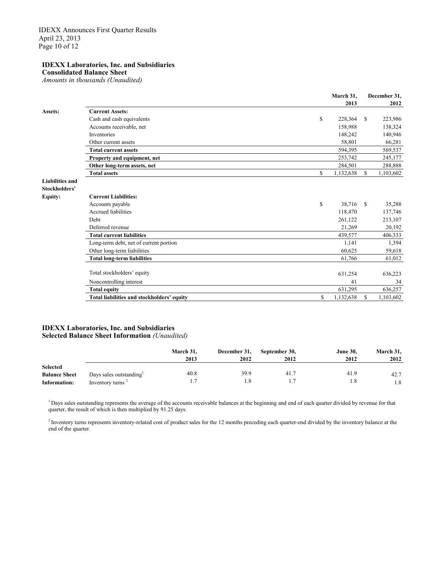**Consolidated Balance Sheet**

*Amounts in thousands (Unaudited)*

|                        |                                            | March 31,       | December 31,    |
|------------------------|--------------------------------------------|-----------------|-----------------|
|                        |                                            | 2013            | 2012            |
| Assets:                | <b>Current Assets:</b>                     |                 |                 |
|                        | Cash and cash equivalents                  | \$<br>228,364   | \$<br>223,986   |
|                        | Accounts receivable, net                   | 158,988         | 138,324         |
|                        | Inventories                                | 148,242         | 140,946         |
|                        | Other current assets                       | 58,801          | 66,281          |
|                        | <b>Total current assets</b>                | 594,395         | 569,537         |
|                        | Property and equipment, net                | 253,742         | 245,177         |
|                        | Other long-term assets, net                | 284,501         | 288,888         |
|                        | <b>Total assets</b>                        | \$<br>1,132,638 | \$<br>1,103,602 |
| <b>Liabilities and</b> |                                            |                 |                 |
| Stockholders'          |                                            |                 |                 |
| <b>Equity:</b>         | <b>Current Liabilities:</b>                |                 |                 |
|                        | Accounts payable                           | \$<br>38,716    | \$<br>35,288    |
|                        | Accrued liabilities                        | 118,470         | 137,746         |
|                        | Debt                                       | 261,122         | 213,107         |
|                        | Deferred revenue                           | 21,269          | 20,192          |
|                        | <b>Total current liabilities</b>           | 439,577         | 406,333         |
|                        | Long-term debt, net of current portion     | 1,141           | 1,394           |
|                        | Other long-term liabilities                | 60,625          | 59,618          |
|                        | <b>Total long-term liabilities</b>         | 61,766          | 61,012          |
|                        | Total stockholders' equity                 | 631,254         | 636,223         |
|                        | Noncontrolling interest                    | 41              | 34              |
|                        | <b>Total equity</b>                        | 631,295         | 636,257         |
|                        | Total liabilities and stockholders' equity | \$<br>1,132,638 | \$<br>1,103,602 |
|                        |                                            |                 |                 |

#### **IDEXX Laboratories, Inc. and Subsidiaries Selected Balance Sheet Information** *(Unaudited)*

|                      |                              | March 31.<br>2013 | December 31,<br>2012 | September 30,<br>2012 | <b>June 30.</b><br>2012 | March 31,<br>2012 |
|----------------------|------------------------------|-------------------|----------------------|-----------------------|-------------------------|-------------------|
| <b>Selected</b>      |                              |                   |                      |                       |                         |                   |
| <b>Balance Sheet</b> | Days sales outstanding       | 40.8              | 39.9                 | 41.7                  | 41.9                    | 42.7              |
| Information:         | Inventory turns <sup>2</sup> |                   |                      |                       | 1.8                     | 1.8               |

<sup>1</sup> Days sales outstanding represents the average of the accounts receivable balances at the beginning and end of each quarter divided by revenue for that quarter, the result of which is then multiplied by 91.25 days.

 $2$  Inventory turns represents inventory-related cost of product sales for the 12 months preceding each quarter-end divided by the inventory balance at the end of the quarter.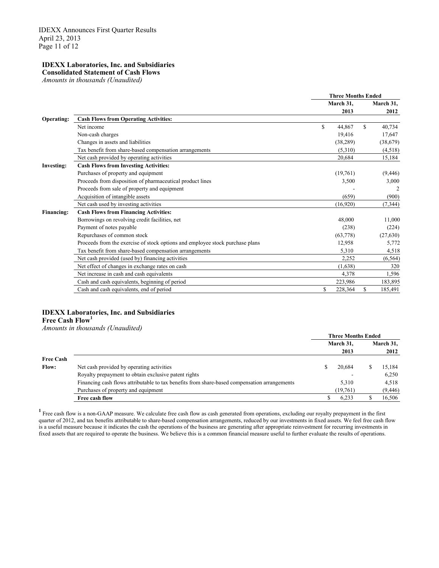**Consolidated Statement of Cash Flows**

*Amounts in thousands (Unaudited)*

|                                                                               |             |           |                   | March 31,                 |
|-------------------------------------------------------------------------------|-------------|-----------|-------------------|---------------------------|
|                                                                               |             |           |                   | 2012                      |
| <b>Cash Flows from Operating Activities:</b>                                  |             |           |                   |                           |
| Net income                                                                    | $\mathbf S$ | 44,867    | \$                | 40,734                    |
| Non-cash charges                                                              |             | 19,416    |                   | 17,647                    |
| Changes in assets and liabilities                                             |             | (38, 289) |                   | (38,679)                  |
| Tax benefit from share-based compensation arrangements                        |             | (5,310)   |                   | (4,518)                   |
| Net cash provided by operating activities                                     |             | 20,684    |                   | 15,184                    |
| <b>Cash Flows from Investing Activities:</b>                                  |             |           |                   |                           |
| Purchases of property and equipment                                           |             | (19,761)  |                   | (9, 446)                  |
| Proceeds from disposition of pharmaceutical product lines                     |             | 3,500     |                   | 3,000                     |
| Proceeds from sale of property and equipment                                  |             |           |                   | $\overline{c}$            |
| Acquisition of intangible assets                                              |             | (659)     |                   | (900)                     |
| Net cash used by investing activities                                         |             | (16,920)  |                   | (7, 344)                  |
| <b>Cash Flows from Financing Activities:</b>                                  |             |           |                   |                           |
| Borrowings on revolving credit facilities, net                                |             | 48,000    |                   | 11,000                    |
| Payment of notes payable                                                      |             | (238)     |                   | (224)                     |
| Repurchases of common stock                                                   |             | (63,778)  |                   | (27, 630)                 |
| Proceeds from the exercise of stock options and employee stock purchase plans |             | 12,958    |                   | 5,772                     |
| Tax benefit from share-based compensation arrangements                        |             | 5.310     |                   | 4,518                     |
| Net cash provided (used by) financing activities                              |             | 2.252     |                   | (6, 564)                  |
| Net effect of changes in exchange rates on cash                               |             | (1,638)   |                   | 320                       |
| Net increase in cash and cash equivalents                                     |             | 4,378     |                   | 1,596                     |
| Cash and cash equivalents, beginning of period                                |             | 223,986   |                   | 183,895                   |
| Cash and cash equivalents, end of period                                      |             | 228,364   | \$                | 185,491                   |
|                                                                               |             |           | March 31,<br>2013 | <b>Three Months Ended</b> |

## **IDEXX Laboratories, Inc. and Subsidiaries**

**Free Cash Flow<sup>1</sup>**

*Amounts in thousands (Unaudited)*

|                  |                                                                                              | <b>Three Months Ended</b> |   |           |
|------------------|----------------------------------------------------------------------------------------------|---------------------------|---|-----------|
|                  |                                                                                              | March 31,                 |   | March 31, |
|                  |                                                                                              | 2013                      |   | 2012      |
| <b>Free Cash</b> |                                                                                              |                           |   |           |
| <b>Flow:</b>     | Net cash provided by operating activities                                                    | 20.684                    | ъ | 15.184    |
|                  | Royalty prepayment to obtain exclusive patent rights                                         |                           |   | 6.250     |
|                  | Financing cash flows attributable to tax benefits from share-based compensation arrangements | 5.310                     |   | 4.518     |
|                  | Purchases of property and equipment                                                          | (19,761)                  |   | (9, 446)  |
|                  | Free cash flow                                                                               | 6.233                     |   | 16,506    |

<sup>1</sup> Free cash flow is a non-GAAP measure. We calculate free cash flow as cash generated from operations, excluding our royalty prepayment in the first quarter of 2012, and tax benefits attributable to share-based compensation arrangements, reduced by our investments in fixed assets. We feel free cash flow is a useful measure because it indicates the cash the operations of the business are generating after appropriate reinvestment for recurring investments in fixed assets that are required to operate the business. We believe this is a common financial measure useful to further evaluate the results of operations.